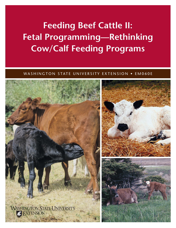# **Feeding Beef Cattle II: Fetal Programming—Rethinking Cow/Calf Feeding Programs**

# WASHINGTON STATE UNIVERSITY EXTENSION • EM060E

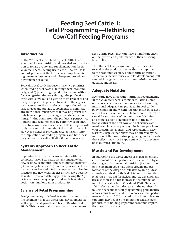# **Feeding Beef Cattle II: Fetal Programming—Rethinking Cow/Calf Feeding Programs**

#### **Introduction**

In the WSU fact sheet, Feeding Beef Cattle I, we examined forage nutrition and provided an introduction to forage quality and supplementation. In this WSU fact sheet, Feeding Beef Cattle II, we will take an in-depth look at the link between supplementing pregnant beef cows and subsequent growth and performance of calves.

Typically, beef cattle producers have two priorities when feeding beef cows 1) feeding them economically, and 2) preventing reproductive failure, with a focus on getting the cows through the production cycle with a live calf and getting them bred back and ready to repeat this process. To achieve these goals, producers assess the nutritional composition of their base forages and provide supplements to eliminate any nutritional imbalances that may be present (i.e., imbalances in protein, energy, minerals, and vitamins). At this point, from the producer's perspective, if nutritional requirements are currently being met, then, by convention, the cows and their progeny will likely perform well throughout the production cycle. However, science is providing greater insights into the implications of feeding programs and how these programs affect a calf well after it has been weaned.

## **Systems Approach to Beef Cattle Management**

Improving beef quality means working within a complex *system.* Beef cattle systems integrate biology, ecology, economics, and even human behavior (Dunn and Johnson 2010). For many years, beef cattle producers have adopted management and feeding practices and new technologies as they have become available. However, data suggest that taking the *big picture* approach may reap considerable benefits in both short- and long-term productivity.

#### **Science of Fetal Programming**

*Fetal programming* is defined as maternal stimuli during pregnancy that can affect fetal development, as well as postnatal growth and health (Martin et al. 2007). This means that the way beef cows are managed during pregnancy can have a significant effect on the growth and performance of their offspring later in life.

The effects of fetal programming can be seen in several of the production traits that are important to the economic viability of beef cattle operations. These traits include muscle and fat development, calf survivability, growth, carcass characteristics, reproduction, and health.

## **Adequate Nutrition**

Beef cattle have important nutritional requirements. In the WSU fact sheet Feeding Beef Cattle I, some of the available tools and resources for determining nutritional adequacy are provided. In beef cattle, body condition and weight loss that result in delayed return to estrus, reproductive failure, and weak calves can all be symptoms of poor nutrition. Vitamins and minerals play a significant role in the nutritional status of the beef cow, and deficiencies are manifested in a variety of ways, including problems with growth, metabolism, and reproduction. Recent research suggests that calves may be affected by the nutrition of the cow during pregnancy, and although these effects may not be apparent at birth, they may be manifested later in life.

# **Muscle and Fat Development**

In addition to the direct effects of management and environment on calf performance, recent investigations suggest that maternal nutrition (i.e., nutrition of the pregnant cow) may affect growth and performance of the offspring well after weaning. Meat animals are raised for their skeletal muscle, and the fetal stage is crucial for skeletal muscle development because there is no net increase in the number of muscle fibers after birth (Stickland 1978; Zhu et al. 2004). Consequently, a decrease in the number of muscle fibers due to fetal programming permanently reduces muscle mass and thus reduces animal performance (Du et al. 2010a). A reduction in muscle mass can ultimately reduce the amount of saleable beef product, thus holding important economic implications for the producer.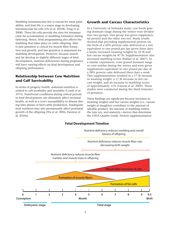Marbling (intramuscular fat) is crucial for meat palatability, and fetal life is a major stage in developing intramuscular fat cells (Du et al. 2010b; Tong et al. 2008). These fat cells provide the sites for intramuscular fat accumulation or marbling formation during fattening. Hence, fetal programming also affects the marbling that takes place in cattle offspring. Midto-late gestation is critical for muscle fiber formation and growth, and late gestation is important for marbling development. However, because muscle and fat develop in slightly different stages of fetal development, nutrient deficiencies during pregnancy will have varying effects on fetal development and offspring performance.

# **Relationship between Cow Nutrition and Calf Survivability**

In terms of progeny health, maternal nutrition is related to calf morbidity and mortality (Corah et al. 1975). Nutritional conditions during critical periods in fetal development can ultimately affect neonatal health, as well as a cow's susceptibility to disease during later phases of beef cattle production. Inadequate fetal nutrition may also permanently affect postnatal growth of the offspring (Wu et al. 2006; Funston et al. 2010a).

#### **Growth and Carcass Characteristics**

In a University of Nebraska study, cow herds grazing dormant range during the winter were divided into two groups. One group was given supplemental protein and the other was not. Study results showed that providing supplemental protein (in the form of a 42% protein cube delivered at a rate equivalent to one pound per day given three days a week) increased weaning weights by 22 lb and hot carcass weights by 87 lb. Supplementation also increased marbling scores (Stalker et al. 2007). In a similar experiment, cows grazed dormant range or corn residue during the winter and were given supplements equivalent to one pound per day of a 28% protein cube delivered three days a week. This supplementation resulted in a 17 lb increase in weaning weight, a 17 lb increase in hot carcass weight, and an increase in marbling scores of approximately 11% (Larson et al. 2009). These studies were conducted during the third trimester of gestation.

These findings are significant because increases in weaning weights and hot carcass weights (i.e., carcass weight at slaughter) contribute to the amount of saleable product, the amount of marbling within the loin eye, and maturity—factors that determine the USDA Quality Grade. Protein supplementation



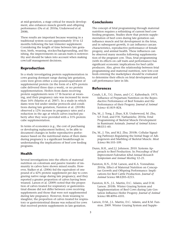at mid-gestation, a stage critical for muscle development, also enhances muscle growth and offspring performance (Du et al. 2010a; Underwood et al. 2008).

These results are important because weaning in a traditional system occurs approximately 10 to 12 months following the last trimester supplement. Considering the length of time between late gestation, birth, weaning, stocker/backgrounding, and finishing, the improvements in carcass traits is noteworthy and should be taken into account when making cow/calf management decisions.

## **Reproduction**

In a study investigating protein supplementation in cows grazing dormant range during late gestation, cows were given either a one-pound-equivalent of supplemental protein (in the form of a 42% protein cube delivered three days a week), or no protein supplementation. Heifers from dams receiving protein supplements were 17 lb heavier at weaning, and their pregnancy rate was increased by more than 16% (Martin et al. 2007). In a study in which dams were fed under similar protocols and conditions during late gestation, Funston et al. (2010b) observed a 12% increase in pregnancy rates and a reduction in the age at which calves reached puberty after they were provided with a 31% protein cube supplementation.

In terms of economics (e.g., the cost of purchasing or developing replacement heifers), to be able to document changes in heifer reproductive performance based on the nutritional status of their dams during pregnancy is a significant breakthrough in understanding the implications of beef cow feeding programs.

# **Health**

Several investigations into the effects of maternal nutrition on colostrum and passive transfer of immunity in calves have shown mixed results. However, Stalker et al. (2006) fed the equivalent of one pound of a 42% protein supplement per day to cows grazing native range during late pregnancy, and they reported a greater proportion of calves having been weaned. Larson et al. (2009) noted that the proportion of calves treated for respiratory or gastrointestinal disease did not differ between cows receiving supplements and those that were not supplemented during late pregnancy. However, from weaning to slaughter, the proportion of calves treated for respiratory or gastrointestinal disease was reduced for cows that received protein supplements in late gestation.

# **Conclusions**

The concept of fetal programming through maternal nutrition requires a rethinking of current beef cow feeding programs. Studies show that protein supplementation of beef cows during late gestation can influence muscle and fat development in the fetus, and in subsequent growth, it can influence carcass characteristics, reproductive performance of female progeny, and animal health. These influences can be observed many months following supplementation of the pregnant cow. Thus, fetal programming (with its effects on calf traits and performance) has significant economic implications for beef cattle producers. Also, given the relationship between fetal programming and maternal nutrition*,* new low-cost feeds entering the marketplace should be evaluated to determine their effects on fetal development and calf performance later in life.

## **References**

- Corah, L.R., T.G. Dunn, and C.C. Kaltenbach. 1975. Influence of Prepartum Nutrition on the Reproductive Performance of Beef Females and the Performance of their Progeny. *Journal of Animal Science* 41:819–824.
- Du, M., J. Tong, J. Zhao, K.R. Underwood, M. Zhu, S.P. Ford, and P.W. Nathanielsz. 2010a. Fetal Programming of Skeletal Muscle Development in Ruminant Animals. *Journal of Animal Science* 88:E51–60.
- Du, M., J. Yin, and M.J. Zhu. 2010b. Cellular Signaling Pathways Regulating the Initial Stage of Adipogenesis and Marbling of Skeletal Muscle. *Meat Science* 86:103–109.
- Dunn, B.H., and J.J. Johnson. 2010. Systems Approach to Beef Production. In *Proceedings of Beef Improvement Federation 42nd Annual Research Symposium and Annual Meeting* 12–21.
- Funston, R.N., D.M. Larson, and K.A. Vonnahme. 2010a. Effect of Maternal Nutrition on Conceptus Growth and Offspring Performance: Implications for Beef Cattle Production. *Journal of Animal Science* 88:E205–E215.
- Funston, R.N., J.L. Martin, D.C. Adams, and D.M. Larson. 2010b. Winter Grazing System and Supplementation of Beef Cows during Late Gestation Influence Heifer Progeny. *Journal of Animal Science* 88:4094–4101.
- Larson, D.M., J.L. Martin, D.C. Adams, and R.M. Funston. 2009. Winter Grazing System and Supple-